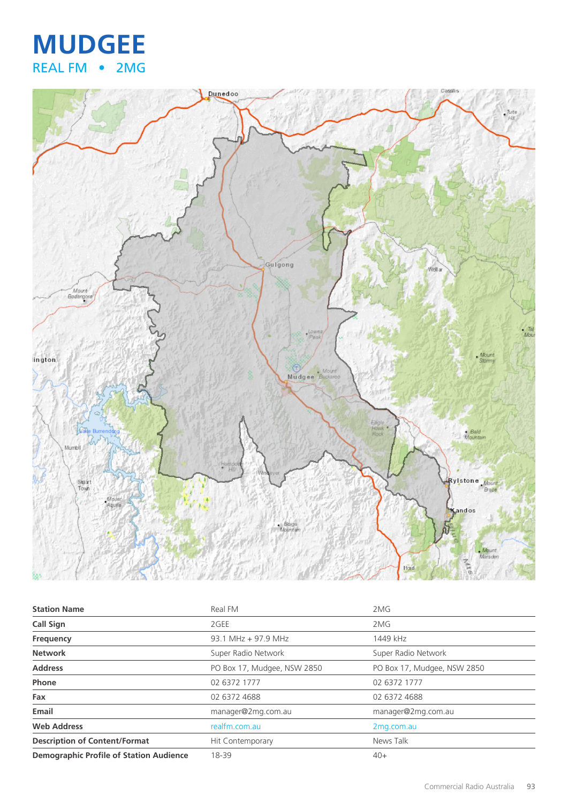## **MUDGEE** REAL FM • 2MG



| <b>Station Name</b>                            | Real FM                     | 2MG                         |
|------------------------------------------------|-----------------------------|-----------------------------|
| <b>Call Sign</b>                               | 2GEE                        | 2MG                         |
| Frequency                                      | 93.1 MHz + 97.9 MHz         | 1449 kHz                    |
| <b>Network</b>                                 | Super Radio Network         | Super Radio Network         |
| <b>Address</b>                                 | PO Box 17, Mudgee, NSW 2850 | PO Box 17, Mudgee, NSW 2850 |
| Phone                                          | 02 6372 1777                | 02 6372 1777                |
| Fax                                            | 02 6372 4688                | 02 6372 4688                |
| Email                                          | manager@2mg.com.au          | manager@2mg.com.au          |
| <b>Web Address</b>                             | realfm.com.au               | 2mg.com.au                  |
| <b>Description of Content/Format</b>           | Hit Contemporary            | News Talk                   |
| <b>Demographic Profile of Station Audience</b> | 18-39                       | $40+$                       |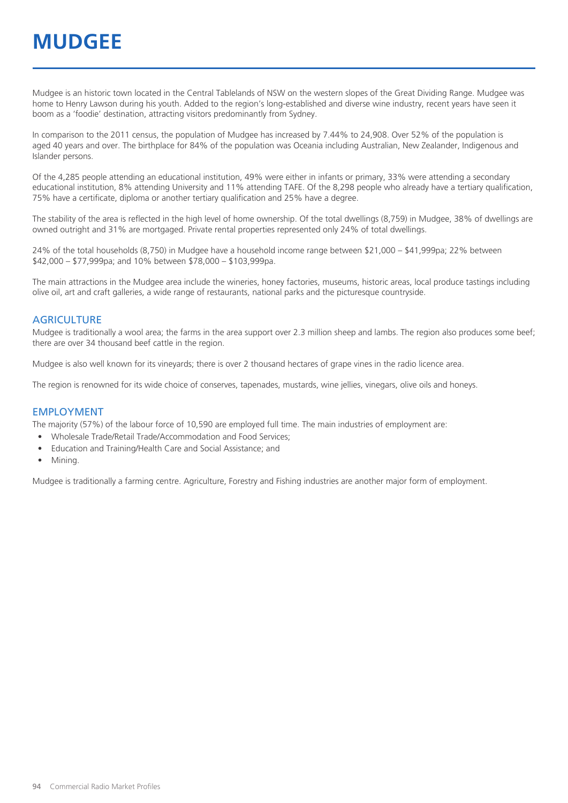## **MUDGEE**

Mudgee is an historic town located in the Central Tablelands of NSW on the western slopes of the Great Dividing Range. Mudgee was home to Henry Lawson during his youth. Added to the region's long-established and diverse wine industry, recent years have seen it boom as a 'foodie' destination, attracting visitors predominantly from Sydney.

In comparison to the 2011 census, the population of Mudgee has increased by 7.44% to 24,908. Over 52% of the population is aged 40 years and over. The birthplace for 84% of the population was Oceania including Australian, New Zealander, Indigenous and Islander persons.

Of the 4,285 people attending an educational institution, 49% were either in infants or primary, 33% were attending a secondary educational institution, 8% attending University and 11% attending TAFE. Of the 8,298 people who already have a tertiary qualification, 75% have a certificate, diploma or another tertiary qualification and 25% have a degree.

The stability of the area is reflected in the high level of home ownership. Of the total dwellings (8,759) in Mudgee, 38% of dwellings are owned outright and 31% are mortgaged. Private rental properties represented only 24% of total dwellings.

24% of the total households (8,750) in Mudgee have a household income range between \$21,000 – \$41,999pa; 22% between \$42,000 – \$77,999pa; and 10% between \$78,000 – \$103,999pa.

The main attractions in the Mudgee area include the wineries, honey factories, museums, historic areas, local produce tastings including olive oil, art and craft galleries, a wide range of restaurants, national parks and the picturesque countryside.

#### **AGRICULTURE**

Mudgee is traditionally a wool area; the farms in the area support over 2.3 million sheep and lambs. The region also produces some beef; there are over 34 thousand beef cattle in the region.

Mudgee is also well known for its vineyards; there is over 2 thousand hectares of grape vines in the radio licence area.

The region is renowned for its wide choice of conserves, tapenades, mustards, wine jellies, vinegars, olive oils and honeys.

#### EMPLOYMENT

The majority (57%) of the labour force of 10,590 are employed full time. The main industries of employment are:

- Wholesale Trade/Retail Trade/Accommodation and Food Services;
- Education and Training/Health Care and Social Assistance; and
- Mining.

Mudgee is traditionally a farming centre. Agriculture, Forestry and Fishing industries are another major form of employment.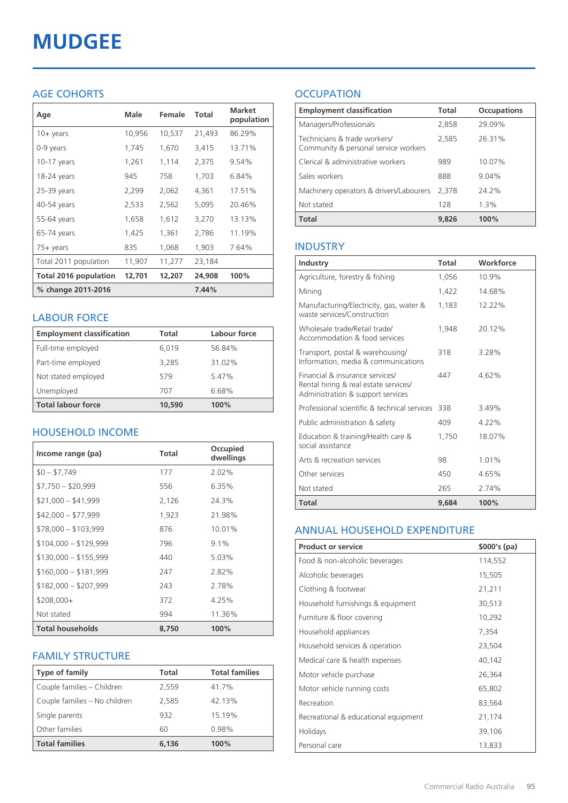# **MUDGEE**

## AGE COHORTS

| Age                          | Male   | Female | Total  | <b>Market</b><br>population |
|------------------------------|--------|--------|--------|-----------------------------|
| $10 + \gamma$ ears           | 10,956 | 10,537 | 21,493 | 86.29%                      |
| 0-9 years                    | 1,745  | 1,670  | 3,415  | 13.71%                      |
| $10-17$ years                | 1,261  | 1,114  | 2,375  | 9.54%                       |
| 18-24 years                  | 945    | 758    | 1,703  | 6.84%                       |
| 25-39 years                  | 2,299  | 2,062  | 4,361  | 17.51%                      |
| 40-54 years                  | 2,533  | 2,562  | 5,095  | 20.46%                      |
| 55-64 years                  | 1,658  | 1,612  | 3,270  | 13.13%                      |
| 65-74 years                  | 1,425  | 1,361  | 2,786  | 11.19%                      |
| $75+$ years                  | 835    | 1,068  | 1,903  | 7.64%                       |
| Total 2011 population        | 11,907 | 11,277 | 23,184 |                             |
| <b>Total 2016 population</b> | 12,701 | 12,207 | 24,908 | 100%                        |
| % change 2011-2016           |        |        | 7.44%  |                             |

#### LABOUR FORCE

| <b>Employment classification</b> | Total  | Labour force |
|----------------------------------|--------|--------------|
| Full-time employed               | 6,019  | 56.84%       |
| Part-time employed               | 3,285  | 31.02%       |
| Not stated employed              | 579    | 5.47%        |
| Unemployed                       | 707    | 6.68%        |
| <b>Total labour force</b>        | 10,590 | 100%         |

## HOUSEHOLD INCOME

| Income range (pa)       | <b>Total</b> | Occupied<br>dwellings |
|-------------------------|--------------|-----------------------|
| $$0 - $7,749$           | 177          | $2.02\%$              |
| $$7,750 - $20,999$      | 556          | 6.35%                 |
| $$21,000 - $41,999$     | 2,126        | 24.3%                 |
| $$42,000 - $77,999$     | 1,923        | 21.98%                |
| $$78,000 - $103,999$    | 876          | 10.01%                |
| $$104,000 - $129,999$   | 796          | $9.1\%$               |
| $$130,000 - $155,999$   | 440          | 5.03%                 |
| $$160,000 - $181,999$   | 247          | 2.82%                 |
| $$182,000 - $207,999$   | 243          | 2.78%                 |
| $$208,000+$             | 372          | 4.25%                 |
| Not stated              | 994          | 11.36%                |
| <b>Total households</b> | 8,750        | 100%                  |

## FAMILY STRUCTURE

| <b>Type of family</b>         | <b>Total</b> | <b>Total families</b> |
|-------------------------------|--------------|-----------------------|
| Couple families - Children    | 2,559        | 41.7%                 |
| Couple families - No children | 2,585        | 42.13%                |
| Single parents                | 932          | 15.19%                |
| Other families                | 60           | 0.98%                 |
| <b>Total families</b>         | 6.136        | 100%                  |

## **OCCUPATION**

| <b>Employment classification</b>                                     | <b>Total</b> | <b>Occupations</b> |
|----------------------------------------------------------------------|--------------|--------------------|
| Managers/Professionals                                               | 2,858        | 29.09%             |
| Technicians & trade workers/<br>Community & personal service workers | 2,585        | 26.31%             |
| Clerical & administrative workers                                    | 989          | 10.07%             |
| Sales workers                                                        | 888          | 9.04%              |
| Machinery operators & drivers/Labourers                              | 2.378        | 74.7%              |
| Not stated                                                           | 128          | 1.3%               |
| Total                                                                | 9.826        | 100%               |

#### INDUSTRY

| Industry                                                                                                      | Total | Workforce |
|---------------------------------------------------------------------------------------------------------------|-------|-----------|
| Agriculture, forestry & fishing                                                                               | 1,056 | 10.9%     |
| Mining                                                                                                        | 1,422 | 14.68%    |
| Manufacturing/Electricity, gas, water &<br>waste services/Construction                                        | 1,183 | 12.22%    |
| Wholesale trade/Retail trade/<br>Accommodation & food services                                                | 1.948 | 20.12%    |
| Transport, postal & warehousing/<br>Information, media & communications                                       | 318   | 3.28%     |
| Financial & insurance services/<br>Rental hiring & real estate services/<br>Administration & support services | 447   | 4.62%     |
| Professional scientific & technical services                                                                  | 338   | 3.49%     |
| Public administration & safety                                                                                | 409   | $4.22\%$  |
| Education & training/Health care &<br>social assistance                                                       | 1.750 | 18.07%    |
| Arts & recreation services                                                                                    | 98    | 1.01%     |
| Other services                                                                                                | 450   | 4.65%     |
| Not stated                                                                                                    | 265   | 2.74%     |
| Total                                                                                                         | 9,684 | 100%      |

#### ANNUAL HOUSEHOLD EXPENDITURE

| <b>Product or service</b>            | $$000's$ (pa) |
|--------------------------------------|---------------|
| Food & non-alcoholic beverages       | 114,552       |
| Alcoholic beverages                  | 15,505        |
| Clothing & footwear                  | 21,211        |
| Household furnishings & equipment    | 30,513        |
| Furniture & floor covering           | 10,292        |
| Household appliances                 | 7,354         |
| Household services & operation       | 23,504        |
| Medical care & health expenses       | 40,142        |
| Motor vehicle purchase               | 26,364        |
| Motor vehicle running costs          | 65,802        |
| Recreation                           | 83,564        |
| Recreational & educational equipment | 21,174        |
| Holidays                             | 39,106        |
| Personal care                        | 13,833        |